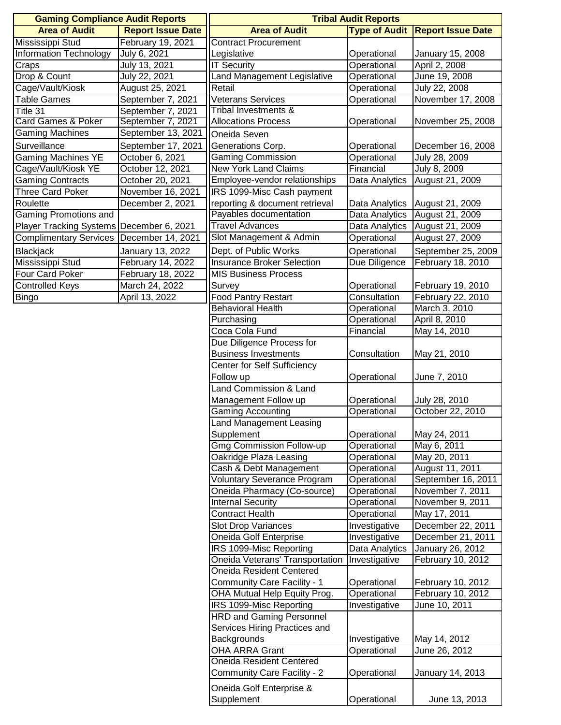| <b>Gaming Compliance Audit Reports</b>     |                          | <b>Tribal Audit Reports</b>        |                      |                          |
|--------------------------------------------|--------------------------|------------------------------------|----------------------|--------------------------|
| <b>Area of Audit</b>                       | <b>Report Issue Date</b> | <b>Area of Audit</b>               | <b>Type of Audit</b> | <b>Report Issue Date</b> |
| Mississippi Stud                           | February 19, 2021        | <b>Contract Procurement</b>        |                      |                          |
| <b>Information Technology</b>              | July 6, 2021             | Legislative                        | Operational          | January 15, 2008         |
| Craps                                      | July 13, 2021            | <b>IT Security</b>                 | Operational          | April 2, 2008            |
| Drop & Count                               | July 22, 2021            | Land Management Legislative        | Operational          | June 19, 2008            |
| Cage/Vault/Kiosk                           | August 25, 2021          | Retail                             | Operational          | July 22, 2008            |
| <b>Table Games</b>                         | September 7, 2021        | <b>Veterans Services</b>           | Operational          | November 17, 2008        |
| Title 31                                   | September 7, 2021        | Tribal Investments &               |                      |                          |
| <b>Card Games &amp; Poker</b>              | September 7, 2021        | <b>Allocations Process</b>         | Operational          | November 25, 2008        |
| <b>Gaming Machines</b>                     | September 13, 2021       | Oneida Seven                       |                      |                          |
| Surveillance                               | September 17, 2021       | Generations Corp.                  | Operational          | December 16, 2008        |
| <b>Gaming Machines YE</b>                  | October 6, 2021          | <b>Gaming Commission</b>           | Operational          | July 28, 2009            |
| Cage/Vault/Kiosk YE                        | October 12, 2021         | <b>New York Land Claims</b>        | Financial            | July 8, 2009             |
| <b>Gaming Contracts</b>                    | October 20, 2021         | Employee-vendor relationships      | Data Analytics       | August 21, 2009          |
| <b>Three Card Poker</b>                    | November 16, 2021        | IRS 1099-Misc Cash payment         |                      |                          |
| Roulette                                   | December 2, 2021         | reporting & document retrieval     | Data Analytics       | August 21, 2009          |
| Gaming Promotions and                      |                          | Payables documentation             | Data Analytics       | August 21, 2009          |
| Player Tracking Systems   December 6, 2021 |                          | <b>Travel Advances</b>             | Data Analytics       | August 21, 2009          |
| <b>Complimentary Services</b>              | December 14, 2021        | Slot Management & Admin            | Operational          | August 27, 2009          |
| Blackjack                                  | January 13, 2022         | Dept. of Public Works              | Operational          | September 25, 2009       |
| Mississippi Stud                           | February 14, 2022        | <b>Insurance Broker Selection</b>  | Due Diligence        | February 18, 2010        |
| Four Card Poker                            | February 18, 2022        | <b>MIS Business Process</b>        |                      |                          |
| <b>Controlled Keys</b>                     | March 24, 2022           | Survey                             | Operational          | February 19, 2010        |
| <b>Bingo</b>                               | April 13, 2022           | <b>Food Pantry Restart</b>         | Consultation         | February 22, 2010        |
|                                            |                          | <b>Behavioral Health</b>           | Operational          | March 3, 2010            |
|                                            |                          | Purchasing                         | Operational          | April 8, 2010            |
|                                            |                          | Coca Cola Fund                     | Financial            | May 14, 2010             |
|                                            |                          | Due Diligence Process for          |                      |                          |
|                                            |                          | <b>Business Investments</b>        | Consultation         | May 21, 2010             |
|                                            |                          | Center for Self Sufficiency        |                      |                          |
|                                            |                          | Follow up                          | Operational          | June 7, 2010             |
|                                            |                          | Land Commission & Land             |                      |                          |
|                                            |                          | Management Follow up               | Operational          | July 28, 2010            |
|                                            |                          | <b>Gaming Accounting</b>           | Operational          | October 22, 2010         |
|                                            |                          | Land Management Leasing            |                      |                          |
|                                            |                          | Supplement                         | Operational          | May 24, 2011             |
|                                            |                          | <b>Gmg Commission Follow-up</b>    | Operational          | May 6, 2011              |
|                                            |                          | Oakridge Plaza Leasing             | Operational          | May 20, 2011             |
|                                            |                          | Cash & Debt Management             | Operational          | August 11, 2011          |
|                                            |                          | <b>Voluntary Severance Program</b> | Operational          | September 16, 2011       |
|                                            |                          | Oneida Pharmacy (Co-source)        | Operational          | November 7, 2011         |
|                                            |                          | <b>Internal Security</b>           | Operational          | November 9, 2011         |
|                                            |                          | <b>Contract Health</b>             | Operational          | May 17, 2011             |
|                                            |                          | Slot Drop Variances                | Investigative        | December 22, 2011        |
|                                            |                          | Oneida Golf Enterprise             | Investigative        | December 21, 2011        |
|                                            |                          | IRS 1099-Misc Reporting            | Data Analytics       | January 26, 2012         |
|                                            |                          | Oneida Veterans' Transportation    | Investigative        | February 10, 2012        |
|                                            |                          | <b>Oneida Resident Centered</b>    |                      |                          |
|                                            |                          | Community Care Facility - 1        | Operational          | February 10, 2012        |
|                                            |                          | OHA Mutual Help Equity Prog.       | Operational          | February 10, 2012        |
|                                            |                          | IRS 1099-Misc Reporting            | Investigative        | June 10, 2011            |
|                                            |                          | <b>HRD and Gaming Personnel</b>    |                      |                          |
|                                            |                          | Services Hiring Practices and      |                      |                          |
|                                            |                          | Backgrounds                        | Investigative        | May 14, 2012             |
|                                            |                          | <b>OHA ARRA Grant</b>              | Operational          | June 26, 2012            |
|                                            |                          | Oneida Resident Centered           |                      |                          |
|                                            |                          | Community Care Facility - 2        | Operational          | January 14, 2013         |
|                                            |                          | Oneida Golf Enterprise &           |                      |                          |
|                                            |                          | Supplement                         | Operational          | June 13, 2013            |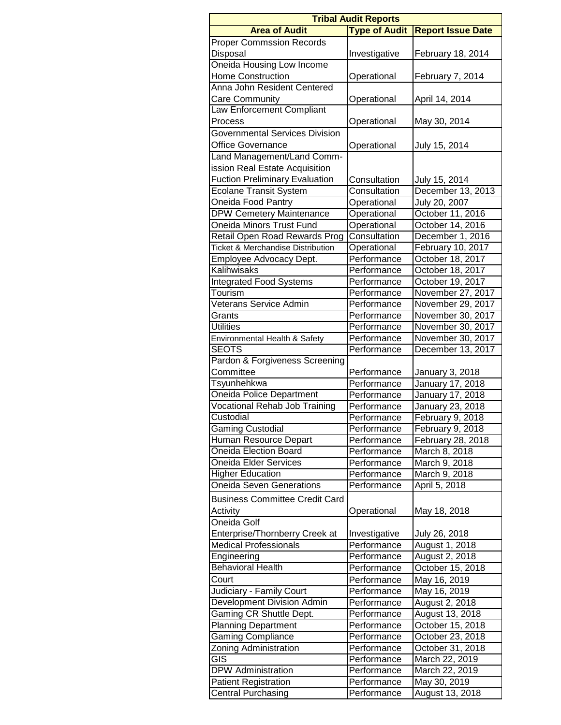| <b>Tribal Audit Reports</b>                  |                      |                          |  |  |  |  |  |
|----------------------------------------------|----------------------|--------------------------|--|--|--|--|--|
| <b>Area of Audit</b>                         | <b>Type of Audit</b> | <b>Report Issue Date</b> |  |  |  |  |  |
| <b>Proper Commssion Records</b>              |                      |                          |  |  |  |  |  |
| Disposal                                     | Investigative        | February 18, 2014        |  |  |  |  |  |
| Oneida Housing Low Income                    |                      |                          |  |  |  |  |  |
| <b>Home Construction</b>                     | Operational          | February 7, 2014         |  |  |  |  |  |
| Anna John Resident Centered                  |                      |                          |  |  |  |  |  |
| <b>Care Community</b>                        | Operational          | April 14, 2014           |  |  |  |  |  |
| Law Enforcement Compliant                    |                      |                          |  |  |  |  |  |
| Process                                      | Operational          | May 30, 2014             |  |  |  |  |  |
| <b>Governmental Services Division</b>        |                      |                          |  |  |  |  |  |
| <b>Office Governance</b>                     | Operational          | July 15, 2014            |  |  |  |  |  |
| Land Management/Land Comm-                   |                      |                          |  |  |  |  |  |
| ission Real Estate Acquisition               |                      |                          |  |  |  |  |  |
| <b>Fuction Preliminary Evaluation</b>        | Consultation         | July 15, 2014            |  |  |  |  |  |
| <b>Ecolane Transit System</b>                | Consultation         | December 13, 2013        |  |  |  |  |  |
| Oneida Food Pantry                           | Operational          | July 20, 2007            |  |  |  |  |  |
| <b>DPW Cemetery Maintenance</b>              | Operational          | October 11, 2016         |  |  |  |  |  |
| Oneida Minors Trust Fund                     | Operational          | October 14, 2016         |  |  |  |  |  |
| Retail Open Road Rewards Prog                | Consultation         | December 1, 2016         |  |  |  |  |  |
| <b>Ticket &amp; Merchandise Distribution</b> | Operational          | February 10, 2017        |  |  |  |  |  |
| Employee Advocacy Dept.                      | Performance          | October 18, 2017         |  |  |  |  |  |
| Kalihwisaks                                  | Performance          | October 18, 2017         |  |  |  |  |  |
| <b>Integrated Food Systems</b>               | Performance          | October 19, 2017         |  |  |  |  |  |
| Tourism                                      | Performance          | November 27, 2017        |  |  |  |  |  |
| Veterans Service Admin                       | Performance          | November 29, 2017        |  |  |  |  |  |
| Grants                                       | Performance          | November 30, 2017        |  |  |  |  |  |
| Utilities                                    | Performance          | November 30, 2017        |  |  |  |  |  |
| Environmental Health & Safety                | Performance          | November 30, 2017        |  |  |  |  |  |
| <b>SEOTS</b>                                 | Performance          | December 13, 2017        |  |  |  |  |  |
| Pardon & Forgiveness Screening               |                      |                          |  |  |  |  |  |
| Committee                                    | Performance          | January 3, 2018          |  |  |  |  |  |
| Tsyunhehkwa                                  | Performance          | January 17, 2018         |  |  |  |  |  |
| Oneida Police Department                     | Performance          | January 17, 2018         |  |  |  |  |  |
| <b>Vocational Rehab Job Training</b>         | Performance          | January 23, 2018         |  |  |  |  |  |
| Custodial                                    | Performance          | February 9, 2018         |  |  |  |  |  |
| Gaming Custodial                             | Performance          | February 9, 2018         |  |  |  |  |  |
| Human Resource Depart                        | Performance          | February 28, 2018        |  |  |  |  |  |
| <b>Oneida Election Board</b>                 | Performance          | March 8, 2018            |  |  |  |  |  |
| <b>Oneida Elder Services</b>                 | Performance          | March 9, 2018            |  |  |  |  |  |
| <b>Higher Education</b>                      | Performance          | March 9, 2018            |  |  |  |  |  |
| <b>Oneida Seven Generations</b>              | Performance          | April 5, 2018            |  |  |  |  |  |
| <b>Business Committee Credit Card</b>        |                      |                          |  |  |  |  |  |
| Activity                                     | Operational          |                          |  |  |  |  |  |
| Oneida Golf                                  |                      | May 18, 2018             |  |  |  |  |  |
|                                              |                      |                          |  |  |  |  |  |
| Enterprise/Thornberry Creek at               | Investigative        | July 26, 2018            |  |  |  |  |  |
| <b>Medical Professionals</b>                 | Performance          | August 1, 2018           |  |  |  |  |  |
| Engineering<br><b>Behavioral Health</b>      | Performance          | August 2, 2018           |  |  |  |  |  |
|                                              | Performance          | October 15, 2018         |  |  |  |  |  |
| Court                                        | Performance          | May 16, 2019             |  |  |  |  |  |
| Judiciary - Family Court                     | Performance          | May 16, 2019             |  |  |  |  |  |
| Development Division Admin                   | Performance          | August 2, 2018           |  |  |  |  |  |
| Gaming CR Shuttle Dept.                      | Performance          | August 13, 2018          |  |  |  |  |  |
| <b>Planning Department</b>                   | Performance          | October 15, 2018         |  |  |  |  |  |
| <b>Gaming Compliance</b>                     | Performance          | October 23, 2018         |  |  |  |  |  |
| Zoning Administration                        | Performance          | October 31, 2018         |  |  |  |  |  |
| GIS                                          | Performance          | March 22, 2019           |  |  |  |  |  |
| <b>DPW</b> Administration                    | Performance          | March 22, 2019           |  |  |  |  |  |
| <b>Patient Registration</b>                  | Performance          | May 30, 2019             |  |  |  |  |  |
| <b>Central Purchasing</b>                    | Performance          | August 13, 2018          |  |  |  |  |  |